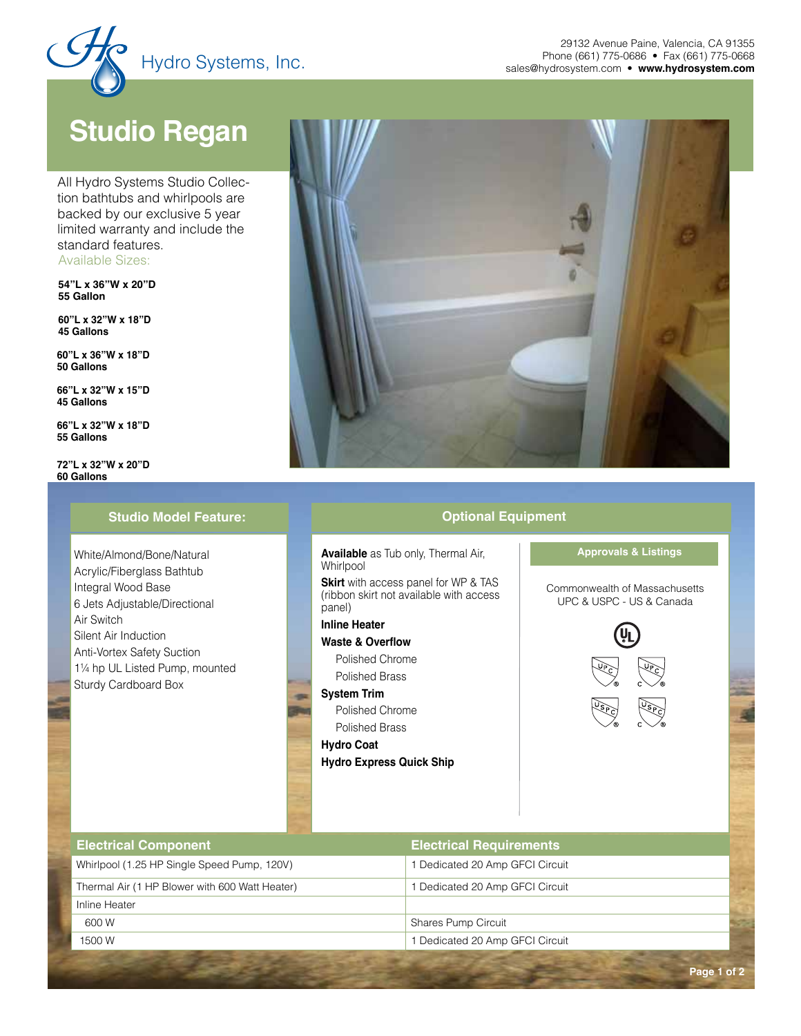

## **Studio Regan**

Available Sizes: All Hydro Systems Studio Collection bathtubs and whirlpools are backed by our exclusive 5 year limited warranty and include the standard features.

**54"L x 36"W x 20"D 55 Gallon**

**60"L x 32"W x 18"D 45 Gallons**

**60"L x 36"W x 18"D 50 Gallons**

**66"L x 32"W x 15"D 45 Gallons**

**66"L x 32"W x 18"D 55 Gallons**

**72"L x 32"W x 20"D 60 Gallons**

### **Studio Model Feature: Contract Contract Contract Contract Contract Contract Contract Contract Contract Contract Contract Contract Contract Contract Contract Contract Contract Contract Contract Contract Contract Contract**

 White/Almond/Bone/Natural Acrylic/Fiberglass Bathtub Integral Wood Base 6 Jets Adjustable/Directional Air Switch Silent Air Induction Anti-Vortex Safety Suction 1¼ hp UL Listed Pump, mounted Sturdy Cardboard Box



**Available** as Tub only, Thermal Air, **Whirlpool** 

**Skirt** with access panel for WP & TAS (ribbon skirt not available with access panel)

## **Inline Heater**

**Waste & Overflow**

Polished Chrome Polished Brass

**System Trim**

Polished Chrome Polished Brass

**Hydro Coat**

**Hydro Express Quick Ship**



| <b>Electrical Component</b>                    | <b>Electrical Requirements</b> |  |
|------------------------------------------------|--------------------------------|--|
| Whirlpool (1.25 HP Single Speed Pump, 120V)    | Dedicated 20 Amp GFCI Circuit  |  |
| Thermal Air (1 HP Blower with 600 Watt Heater) | Dedicated 20 Amp GFCI Circuit  |  |
| Inline Heater                                  |                                |  |
| 600 W                                          | <b>Shares Pump Circuit</b>     |  |
| 1500 W                                         | Dedicated 20 Amp GFCI Circuit  |  |
|                                                |                                |  |